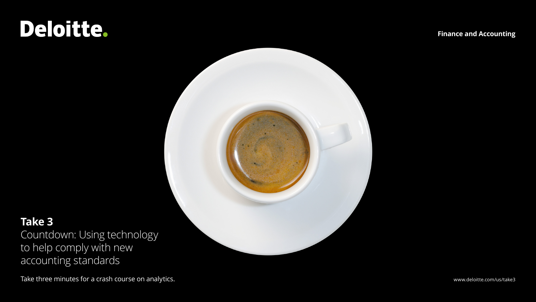## Deloitte.

**Finance and Accounting**



### **Take 3**

Countdown: Using technology to help comply with new accounting standards

Take three minutes for a crash course on analytics. The matrix of the state of the state of the state of the state of the state of the state of the state of the state of the state of the state of the state of the state of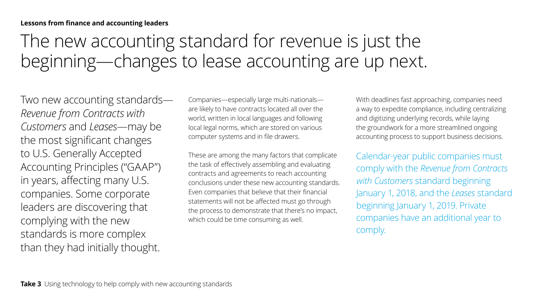## The new accounting standard for revenue is just the beginning—changes to lease accounting are up next.

Two new accounting standards— *Revenue from Contracts with Customers* and *Leases*—may be the most significant changes to U.S. Generally Accepted Accounting Principles ("GAAP") in years, affecting many U.S. companies. Some corporate leaders are discovering that complying with the new standards is more complex than they had initially thought.

Companies—especially large multi-nationals are likely to have contracts located all over the world, written in local languages and following local legal norms, which are stored on various computer systems and in file drawers.

These are among the many factors that complicate the task of effectively assembling and evaluating contracts and agreements to reach accounting conclusions under these new accounting standards. Even companies that believe that their financial statements will not be affected must go through the process to demonstrate that there's no impact, which could be time consuming as well.

With deadlines fast approaching, companies need a way to expedite compliance, including centralizing and digitizing underlying records, while laying the groundwork for a more streamlined ongoing accounting process to support business decisions.

Calendar-year public companies must comply with the *Revenue from Contracts with Customers* standard beginning January 1, 2018, and the *Leases* standard beginning January 1, 2019. Private companies have an additional year to comply.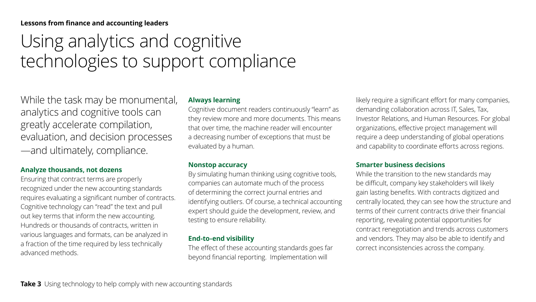#### **Lessons from finance and accounting leaders**

### Using analytics and cognitive technologies to support compliance

While the task may be monumental, analytics and cognitive tools can greatly accelerate compilation, evaluation, and decision processes —and ultimately, compliance.

#### **Analyze thousands, not dozens**

Ensuring that contract terms are properly recognized under the new accounting standards requires evaluating a significant number of contracts. Cognitive technology can "read" the text and pull out key terms that inform the new accounting. Hundreds or thousands of contracts, written in various languages and formats, can be analyzed in a fraction of the time required by less technically advanced methods.

#### **Always learning**

Cognitive document readers continuously "learn" as they review more and more documents. This means that over time, the machine reader will encounter a decreasing number of exceptions that must be evaluated by a human.

#### **Nonstop accuracy**

By simulating human thinking using cognitive tools, companies can automate much of the process of determining the correct journal entries and identifying outliers. Of course, a technical accounting expert should guide the development, review, and testing to ensure reliability.

#### **End-to-end visibility**

The effect of these accounting standards goes far beyond financial reporting. Implementation will

likely require a significant effort for many companies, demanding collaboration across IT, Sales, Tax, Investor Relations, and Human Resources. For global organizations, effective project management will require a deep understanding of global operations and capability to coordinate efforts across regions.

#### **Smarter business decisions**

While the transition to the new standards may be difficult, company key stakeholders will likely gain lasting benefits. With contracts digitized and centrally located, they can see how the structure and terms of their current contracts drive their financial reporting, revealing potential opportunities for contract renegotiation and trends across customers and vendors. They may also be able to identify and correct inconsistencies across the company.